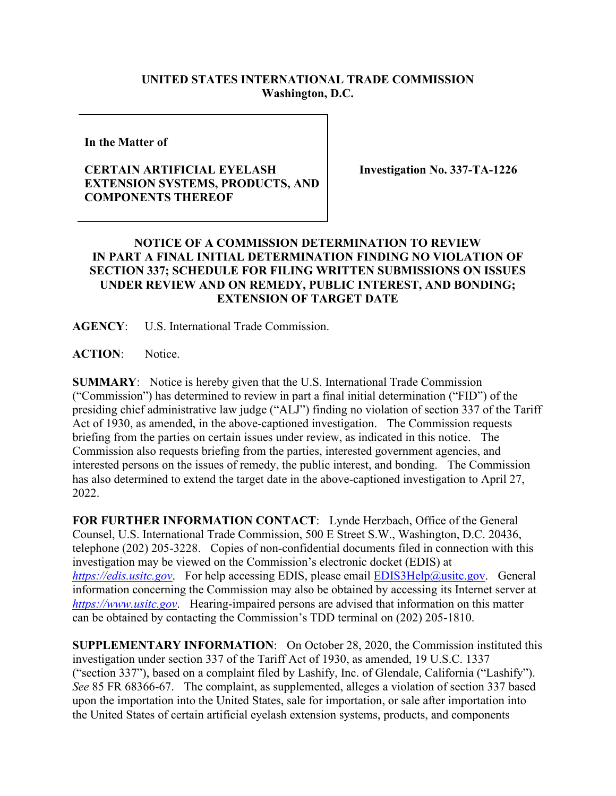## **UNITED STATES INTERNATIONAL TRADE COMMISSION Washington, D.C.**

**In the Matter of** 

## **CERTAIN ARTIFICIAL EYELASH EXTENSION SYSTEMS, PRODUCTS, AND COMPONENTS THEREOF**

**Investigation No. 337-TA-1226**

## **NOTICE OF A COMMISSION DETERMINATION TO REVIEW IN PART A FINAL INITIAL DETERMINATION FINDING NO VIOLATION OF SECTION 337; SCHEDULE FOR FILING WRITTEN SUBMISSIONS ON ISSUES UNDER REVIEW AND ON REMEDY, PUBLIC INTEREST, AND BONDING; EXTENSION OF TARGET DATE**

**AGENCY**: U.S. International Trade Commission.

**ACTION**: Notice.

**SUMMARY**: Notice is hereby given that the U.S. International Trade Commission ("Commission") has determined to review in part a final initial determination ("FID") of the presiding chief administrative law judge ("ALJ") finding no violation of section 337 of the Tariff Act of 1930, as amended, in the above-captioned investigation. The Commission requests briefing from the parties on certain issues under review, as indicated in this notice. The Commission also requests briefing from the parties, interested government agencies, and interested persons on the issues of remedy, the public interest, and bonding. The Commission has also determined to extend the target date in the above-captioned investigation to April 27, 2022.

**FOR FURTHER INFORMATION CONTACT**: Lynde Herzbach, Office of the General Counsel, U.S. International Trade Commission, 500 E Street S.W., Washington, D.C. 20436, telephone (202) 205-3228. Copies of non-confidential documents filed in connection with this investigation may be viewed on the Commission's electronic docket (EDIS) at *[https://edis.usitc.gov](https://edis.usitc.gov/).* For help accessing EDIS, please email [EDIS3Help@usitc.gov.](mailto:EDIS3Help@usitc.gov) General information concerning the Commission may also be obtained by accessing its Internet server at *[https://www.usitc.gov](https://www.usitc.gov/)*. Hearing-impaired persons are advised that information on this matter can be obtained by contacting the Commission's TDD terminal on (202) 205-1810.

**SUPPLEMENTARY INFORMATION**: On October 28, 2020, the Commission instituted this investigation under section 337 of the Tariff Act of 1930, as amended, 19 U.S.C. 1337 ("section 337"), based on a complaint filed by Lashify, Inc. of Glendale, California ("Lashify"). *See* 85 FR 68366-67. The complaint, as supplemented, alleges a violation of section 337 based upon the importation into the United States, sale for importation, or sale after importation into the United States of certain artificial eyelash extension systems, products, and components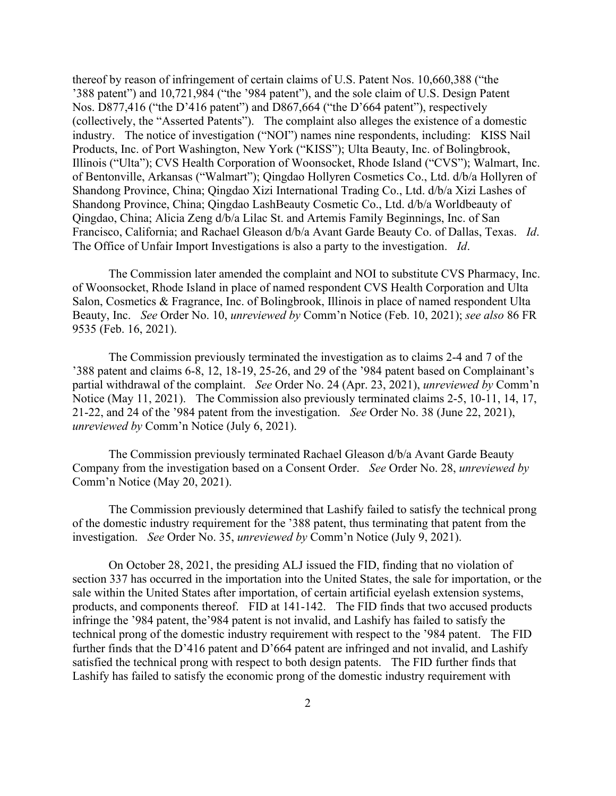thereof by reason of infringement of certain claims of U.S. Patent Nos. 10,660,388 ("the '388 patent") and 10,721,984 ("the '984 patent"), and the sole claim of U.S. Design Patent Nos. D877,416 ("the D'416 patent") and D867,664 ("the D'664 patent"), respectively (collectively, the "Asserted Patents"). The complaint also alleges the existence of a domestic industry. The notice of investigation ("NOI") names nine respondents, including: KISS Nail Products, Inc. of Port Washington, New York ("KISS"); Ulta Beauty, Inc. of Bolingbrook, Illinois ("Ulta"); CVS Health Corporation of Woonsocket, Rhode Island ("CVS"); Walmart, Inc. of Bentonville, Arkansas ("Walmart"); Qingdao Hollyren Cosmetics Co., Ltd. d/b/a Hollyren of Shandong Province, China; Qingdao Xizi International Trading Co., Ltd. d/b/a Xizi Lashes of Shandong Province, China; Qingdao LashBeauty Cosmetic Co., Ltd. d/b/a Worldbeauty of Qingdao, China; Alicia Zeng d/b/a Lilac St. and Artemis Family Beginnings, Inc. of San Francisco, California; and Rachael Gleason d/b/a Avant Garde Beauty Co. of Dallas, Texas. *Id*. The Office of Unfair Import Investigations is also a party to the investigation. *Id*.

The Commission later amended the complaint and NOI to substitute CVS Pharmacy, Inc. of Woonsocket, Rhode Island in place of named respondent CVS Health Corporation and Ulta Salon, Cosmetics & Fragrance, Inc. of Bolingbrook, Illinois in place of named respondent Ulta Beauty, Inc. *See* Order No. 10, *unreviewed by* Comm'n Notice (Feb. 10, 2021); *see also* 86 FR 9535 (Feb. 16, 2021).

The Commission previously terminated the investigation as to claims 2-4 and 7 of the '388 patent and claims 6-8, 12, 18-19, 25-26, and 29 of the '984 patent based on Complainant's partial withdrawal of the complaint. *See* Order No. 24 (Apr. 23, 2021), *unreviewed by* Comm'n Notice (May 11, 2021). The Commission also previously terminated claims 2-5, 10-11, 14, 17, 21-22, and 24 of the '984 patent from the investigation. *See* Order No. 38 (June 22, 2021), *unreviewed by* Comm'n Notice (July 6, 2021).

The Commission previously terminated Rachael Gleason d/b/a Avant Garde Beauty Company from the investigation based on a Consent Order. *See* Order No. 28, *unreviewed by* Comm'n Notice (May 20, 2021).

The Commission previously determined that Lashify failed to satisfy the technical prong of the domestic industry requirement for the '388 patent, thus terminating that patent from the investigation. *See* Order No. 35, *unreviewed by* Comm'n Notice (July 9, 2021).

On October 28, 2021, the presiding ALJ issued the FID, finding that no violation of section 337 has occurred in the importation into the United States, the sale for importation, or the sale within the United States after importation, of certain artificial eyelash extension systems, products, and components thereof. FID at 141-142. The FID finds that two accused products infringe the '984 patent, the'984 patent is not invalid, and Lashify has failed to satisfy the technical prong of the domestic industry requirement with respect to the '984 patent. The FID further finds that the D'416 patent and D'664 patent are infringed and not invalid, and Lashify satisfied the technical prong with respect to both design patents. The FID further finds that Lashify has failed to satisfy the economic prong of the domestic industry requirement with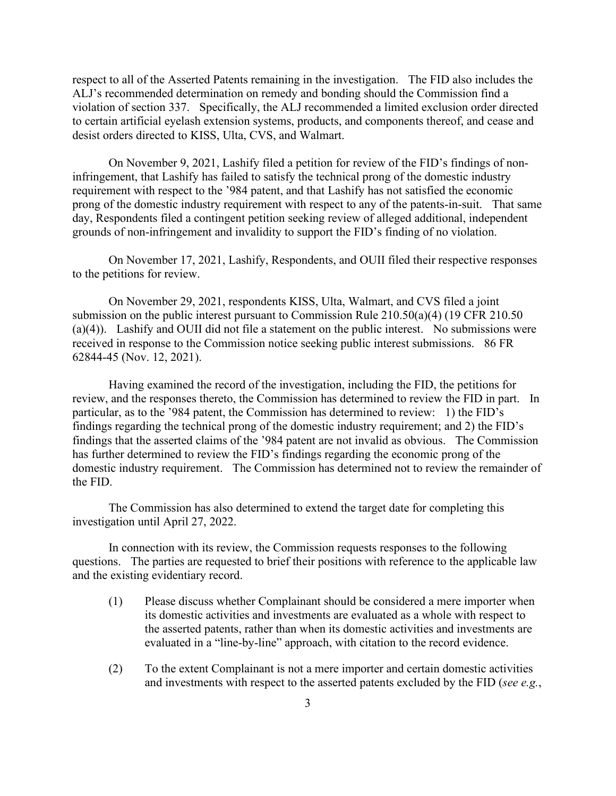respect to all of the Asserted Patents remaining in the investigation. The FID also includes the ALJ's recommended determination on remedy and bonding should the Commission find a violation of section 337. Specifically, the ALJ recommended a limited exclusion order directed to certain artificial eyelash extension systems, products, and components thereof, and cease and desist orders directed to KISS, Ulta, CVS, and Walmart.

On November 9, 2021, Lashify filed a petition for review of the FID's findings of noninfringement, that Lashify has failed to satisfy the technical prong of the domestic industry requirement with respect to the '984 patent, and that Lashify has not satisfied the economic prong of the domestic industry requirement with respect to any of the patents-in-suit. That same day, Respondents filed a contingent petition seeking review of alleged additional, independent grounds of non-infringement and invalidity to support the FID's finding of no violation.

On November 17, 2021, Lashify, Respondents, and OUII filed their respective responses to the petitions for review.

On November 29, 2021, respondents KISS, Ulta, Walmart, and CVS filed a joint submission on the public interest pursuant to Commission Rule 210.50(a)(4) (19 CFR 210.50 (a)(4)). Lashify and OUII did not file a statement on the public interest. No submissions were received in response to the Commission notice seeking public interest submissions. 86 FR 62844-45 (Nov. 12, 2021).

Having examined the record of the investigation, including the FID, the petitions for review, and the responses thereto, the Commission has determined to review the FID in part. In particular, as to the '984 patent, the Commission has determined to review: 1) the FID's findings regarding the technical prong of the domestic industry requirement; and 2) the FID's findings that the asserted claims of the '984 patent are not invalid as obvious. The Commission has further determined to review the FID's findings regarding the economic prong of the domestic industry requirement. The Commission has determined not to review the remainder of the FID.

The Commission has also determined to extend the target date for completing this investigation until April 27, 2022.

In connection with its review, the Commission requests responses to the following questions. The parties are requested to brief their positions with reference to the applicable law and the existing evidentiary record.

- (1) Please discuss whether Complainant should be considered a mere importer when its domestic activities and investments are evaluated as a whole with respect to the asserted patents, rather than when its domestic activities and investments are evaluated in a "line-by-line" approach, with citation to the record evidence.
- (2) To the extent Complainant is not a mere importer and certain domestic activities and investments with respect to the asserted patents excluded by the FID (*see e.g.*,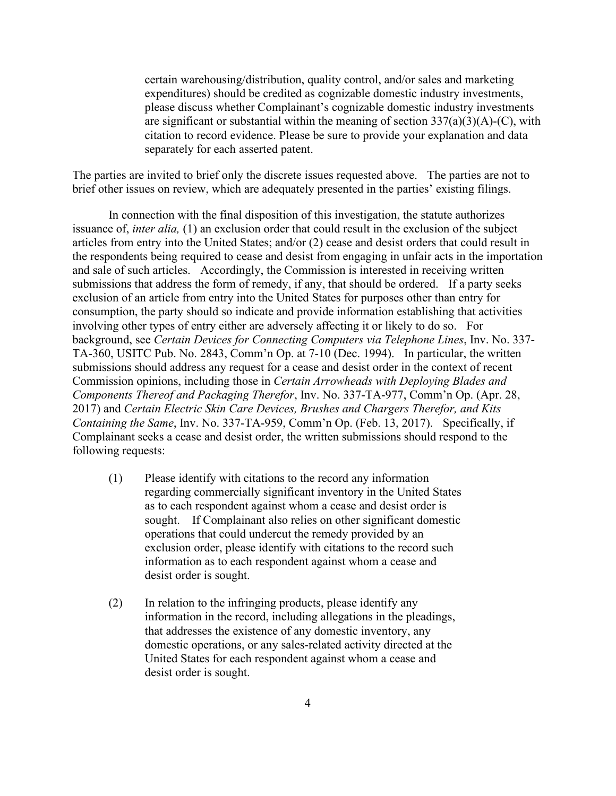certain warehousing/distribution, quality control, and/or sales and marketing expenditures) should be credited as cognizable domestic industry investments, please discuss whether Complainant's cognizable domestic industry investments are significant or substantial within the meaning of section  $337(a)(3)(A)-(C)$ , with citation to record evidence. Please be sure to provide your explanation and data separately for each asserted patent.

The parties are invited to brief only the discrete issues requested above. The parties are not to brief other issues on review, which are adequately presented in the parties' existing filings.

In connection with the final disposition of this investigation, the statute authorizes issuance of, *inter alia,* (1) an exclusion order that could result in the exclusion of the subject articles from entry into the United States; and/or (2) cease and desist orders that could result in the respondents being required to cease and desist from engaging in unfair acts in the importation and sale of such articles. Accordingly, the Commission is interested in receiving written submissions that address the form of remedy, if any, that should be ordered. If a party seeks exclusion of an article from entry into the United States for purposes other than entry for consumption, the party should so indicate and provide information establishing that activities involving other types of entry either are adversely affecting it or likely to do so. For background, see *Certain Devices for Connecting Computers via Telephone Lines*, Inv. No. 337- TA-360, USITC Pub. No. 2843, Comm'n Op. at 7-10 (Dec. 1994). In particular, the written submissions should address any request for a cease and desist order in the context of recent Commission opinions, including those in *Certain Arrowheads with Deploying Blades and Components Thereof and Packaging Therefor*, Inv. No. 337-TA-977, Comm'n Op. (Apr. 28, 2017) and *Certain Electric Skin Care Devices, Brushes and Chargers Therefor, and Kits Containing the Same*, Inv. No. 337-TA-959, Comm'n Op. (Feb. 13, 2017). Specifically, if Complainant seeks a cease and desist order, the written submissions should respond to the following requests:

- (1) Please identify with citations to the record any information regarding commercially significant inventory in the United States as to each respondent against whom a cease and desist order is sought. If Complainant also relies on other significant domestic operations that could undercut the remedy provided by an exclusion order, please identify with citations to the record such information as to each respondent against whom a cease and desist order is sought.
- (2) In relation to the infringing products, please identify any information in the record, including allegations in the pleadings, that addresses the existence of any domestic inventory, any domestic operations, or any sales-related activity directed at the United States for each respondent against whom a cease and desist order is sought.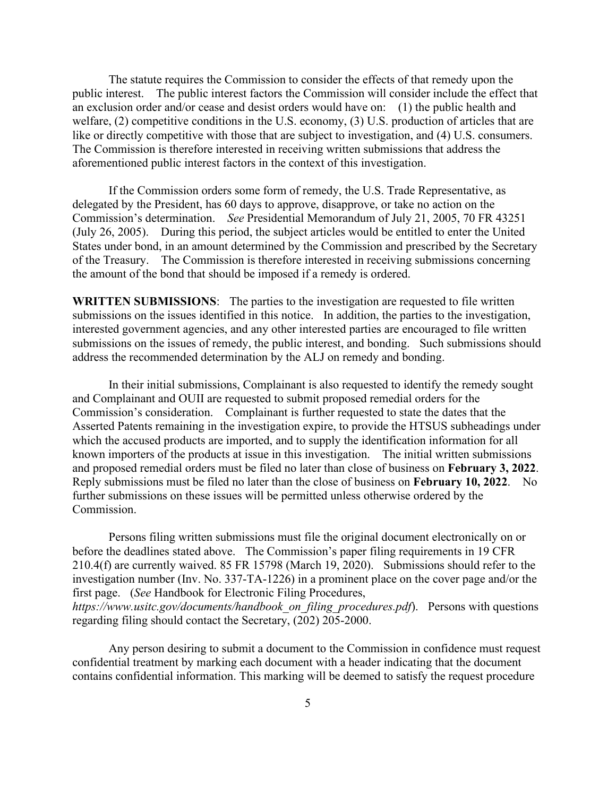The statute requires the Commission to consider the effects of that remedy upon the public interest. The public interest factors the Commission will consider include the effect that an exclusion order and/or cease and desist orders would have on: (1) the public health and welfare, (2) competitive conditions in the U.S. economy, (3) U.S. production of articles that are like or directly competitive with those that are subject to investigation, and (4) U.S. consumers. The Commission is therefore interested in receiving written submissions that address the aforementioned public interest factors in the context of this investigation.

If the Commission orders some form of remedy, the U.S. Trade Representative, as delegated by the President, has 60 days to approve, disapprove, or take no action on the Commission's determination. *See* Presidential Memorandum of July 21, 2005, 70 FR 43251 (July 26, 2005). During this period, the subject articles would be entitled to enter the United States under bond, in an amount determined by the Commission and prescribed by the Secretary of the Treasury. The Commission is therefore interested in receiving submissions concerning the amount of the bond that should be imposed if a remedy is ordered.

**WRITTEN SUBMISSIONS**: The parties to the investigation are requested to file written submissions on the issues identified in this notice. In addition, the parties to the investigation, interested government agencies, and any other interested parties are encouraged to file written submissions on the issues of remedy, the public interest, and bonding. Such submissions should address the recommended determination by the ALJ on remedy and bonding.

In their initial submissions, Complainant is also requested to identify the remedy sought and Complainant and OUII are requested to submit proposed remedial orders for the Commission's consideration. Complainant is further requested to state the dates that the Asserted Patents remaining in the investigation expire, to provide the HTSUS subheadings under which the accused products are imported, and to supply the identification information for all known importers of the products at issue in this investigation. The initial written submissions and proposed remedial orders must be filed no later than close of business on **February 3, 2022**. Reply submissions must be filed no later than the close of business on **February 10, 2022**. No further submissions on these issues will be permitted unless otherwise ordered by the Commission.

Persons filing written submissions must file the original document electronically on or before the deadlines stated above. The Commission's paper filing requirements in 19 CFR 210.4(f) are currently waived. 85 FR 15798 (March 19, 2020). Submissions should refer to the investigation number (Inv. No. 337-TA-1226) in a prominent place on the cover page and/or the first page. (*See* Handbook for Electronic Filing Procedures, *https://www.usitc.gov/documents/handbook\_on\_filing\_procedures.pdf*). Persons with questions regarding filing should contact the Secretary, (202) 205-2000.

Any person desiring to submit a document to the Commission in confidence must request confidential treatment by marking each document with a header indicating that the document contains confidential information. This marking will be deemed to satisfy the request procedure